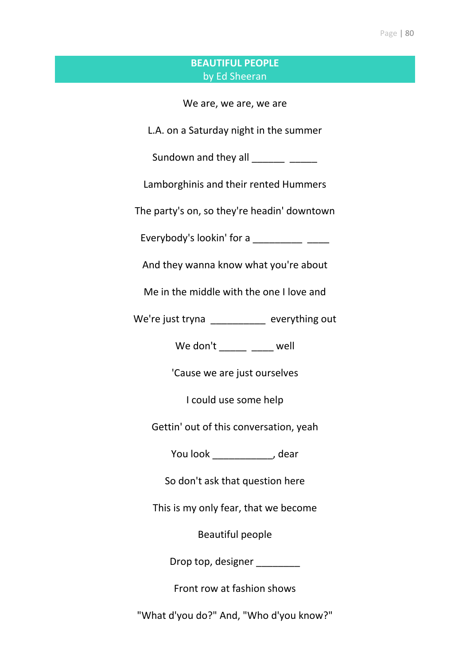# **BEAUTIFUL PEOPLE** by Ed Sheeran

We are, we are, we are

L.A. on a Saturday night in the summer

Sundown and they all **with the summand they** 

Lamborghinis and their rented Hummers

The party's on, so they're headin' downtown

Everybody's lookin' for a \_\_\_\_\_\_\_\_\_ \_\_\_\_

And they wanna know what you're about

Me in the middle with the one I love and

We're just tryna \_\_\_\_\_\_\_\_\_ everything out

We don't well

'Cause we are just ourselves

I could use some help

Gettin' out of this conversation, yeah

You look \_\_\_\_\_\_\_\_\_\_\_, dear

So don't ask that question here

This is my only fear, that we become

Beautiful people

Drop top, designer

Front row at fashion shows

"What d'you do?" And, "Who d'you know?"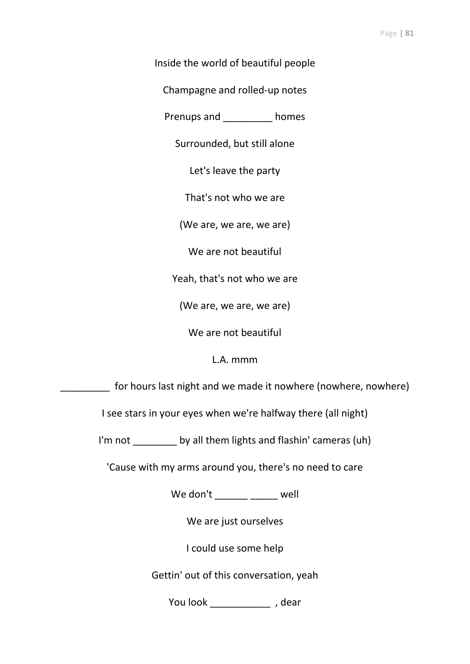Inside the world of beautiful people

Champagne and rolled-up notes

Prenups and bomes

Surrounded, but still alone

Let's leave the party

That's not who we are

(We are, we are, we are)

We are not beautiful

Yeah, that's not who we are

(We are, we are, we are)

We are not beautiful

L.A. mmm

\_\_\_\_\_\_\_\_\_ for hours last night and we made it nowhere (nowhere, nowhere)

I see stars in your eyes when we're halfway there (all night)

I'm not \_\_\_\_\_\_\_\_ by all them lights and flashin' cameras (uh)

'Cause with my arms around you, there's no need to care

We don't \_\_\_\_\_\_\_ \_\_\_\_\_ well

We are just ourselves

I could use some help

Gettin' out of this conversation, yeah

You look \_\_\_\_\_\_\_\_\_\_\_ , dear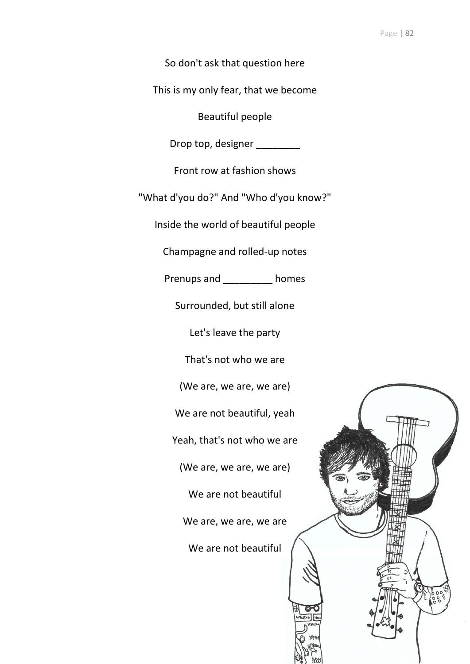# So don't ask that question here

This is my only fear, that we become

Beautiful people

Drop top, designer

Front row at fashion shows

"What d'you do?" And "Who d'you know?"

Inside the world of beautiful people

Champagne and rolled-up notes

Prenups and \_\_\_\_\_\_\_\_\_\_ homes

Surrounded, but still alone

Let's leave the party

That's not who we are

(We are, we are, we are)

We are not beautiful, yeah

Yeah, that's not who we are

(We are, we are, we are)

We are not beautiful

We are, we are, we are

We are not beautiful

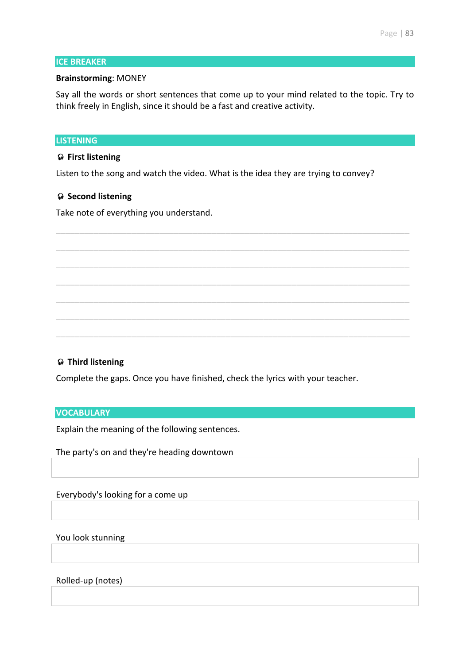#### **ICE BREAKER**

#### **Brainstorming**: MONEY

Say all the words or short sentences that come up to your mind related to the topic. Try to think freely in English, since it should be a fast and creative activity.

### **LISTENING**

### **First listening**

Listen to the song and watch the video. What is the idea they are trying to convey?

### **Second listening**

Take note of everything you understand.

### **Third listening**

Complete the gaps. Once you have finished, check the lyrics with your teacher.

#### **VOCABULARY**

Explain the meaning of the following sentences.

The party's on and they're heading downtown

Everybody's looking for a come up

You look stunning

Rolled-up (notes)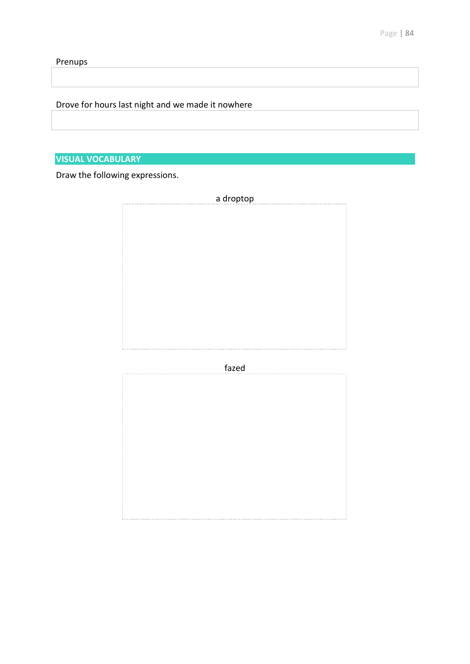Prenups

# Drove for hours last night and we made it nowhere

**VISUAL VOCABULARY**

Draw the following expressions.



fazed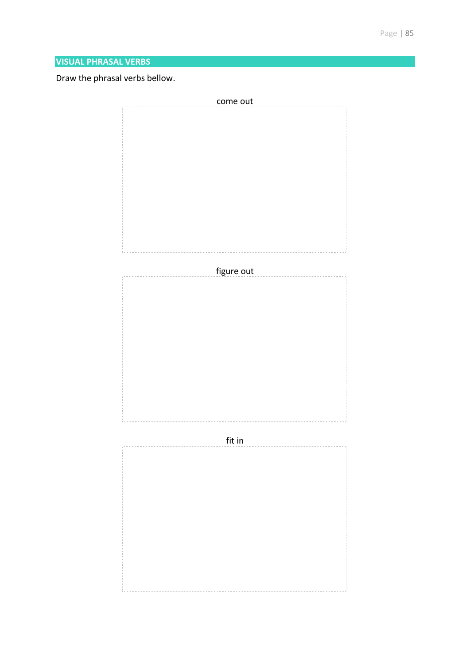# **VISUAL PHRASAL VERBS**

# Draw the phrasal verbs bellow.

come out

figure out

fit in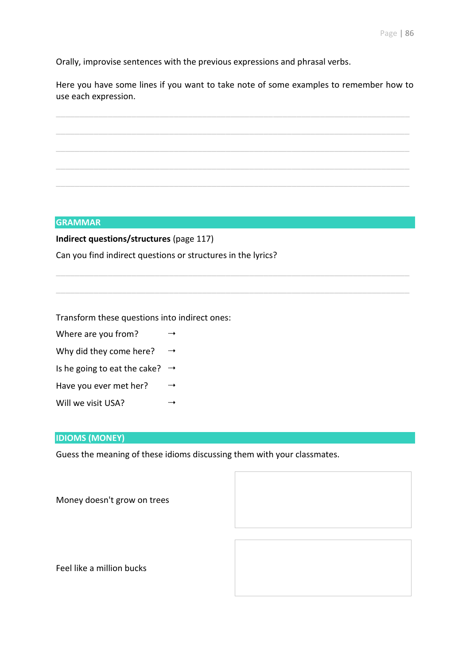Orally, improvise sentences with the previous expressions and phrasal verbs.

Here you have some lines if you want to take note of some examples to remember how to use each expression.



### **GRAMMAR**

**Indirect questions/structures** (page 117)

Can you find indirect questions or structures in the lyrics?

Transform these questions into indirect ones:

Where are you from?  $\rightarrow$ 

Why did they come here?  $\rightarrow$ 

Is he going to eat the cake?  $\rightarrow$ 

Have you ever met her?  $\rightarrow$ 

Will we visit USA? **\*\*\*** 

## **IDIOMS (MONEY)**

Guess the meaning of these idioms discussing them with your classmates.

Money doesn't grow on trees



Feel like a million bucks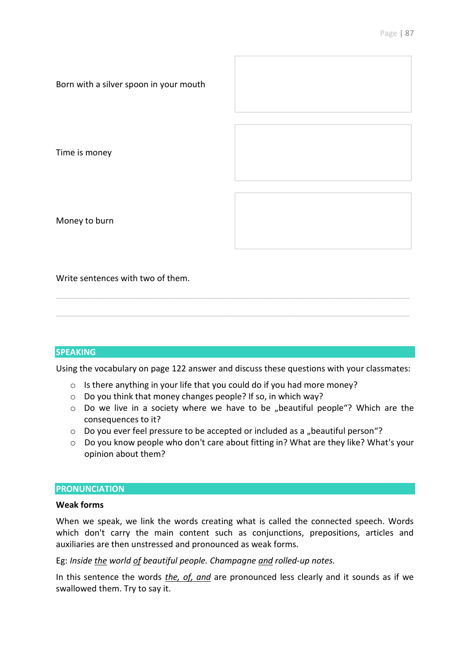Born with a silver spoon in your mouth

Time is money

Money to burn

Write sentences with two of them.

### **SPEAKING**

Using the vocabulary on page 122 answer and discuss these questions with your classmates:

- $\circ$  Is there anything in your life that you could do if you had more money?
- o Do you think that money changes people? If so, in which way?
- $\circ$  Do we live in a society where we have to be "beautiful people"? Which are the consequences to it?
- $\circ$  Do you ever feel pressure to be accepted or included as a "beautiful person"?
- o Do you know people who don't care about fitting in? What are they like? What's your opinion about them?

## **PRONUNCIATION**

#### **Weak forms**

When we speak, we link the words creating what is called the connected speech. Words which don't carry the main content such as conjunctions, prepositions, articles and auxiliaries are then unstressed and pronounced as weak forms.

Eg: *Inside the world of beautiful people. Champagne and rolled-up notes.*

In this sentence the words *the, of, and* are pronounced less clearly and it sounds as if we swallowed them. Try to say it.